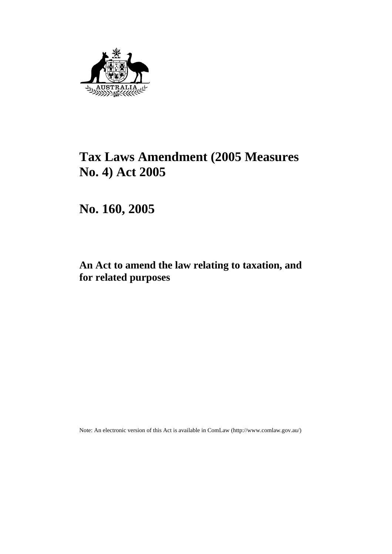

# **Tax Laws Amendment (2005 Measures No. 4) Act 2005**

**No. 160, 2005** 

## **An Act to amend the law relating to taxation, and for related purposes**

Note: An electronic version of this Act is available in ComLaw (http://www.comlaw.gov.au/)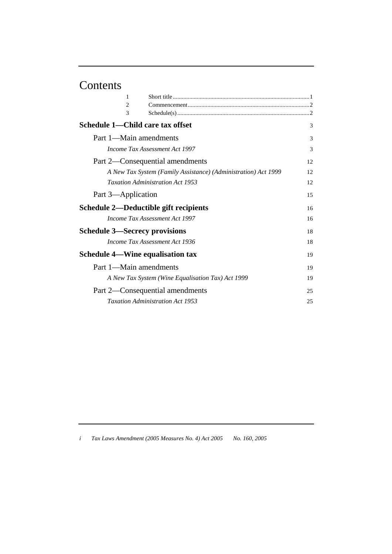# Contents

| 1                                       |                                                                |    |
|-----------------------------------------|----------------------------------------------------------------|----|
| $\overline{2}$                          |                                                                |    |
| 3                                       |                                                                |    |
| Schedule 1—Child care tax offset        |                                                                | 3  |
| Part 1—Main amendments                  |                                                                | 3  |
|                                         | Income Tax Assessment Act 1997                                 | 3  |
|                                         | Part 2—Consequential amendments                                | 12 |
|                                         | A New Tax System (Family Assistance) (Administration) Act 1999 | 12 |
|                                         | <b>Taxation Administration Act 1953</b>                        | 12 |
| Part 3—Application                      |                                                                | 15 |
| Schedule 2—Deductible gift recipients   |                                                                | 16 |
|                                         | Income Tax Assessment Act 1997                                 | 16 |
| <b>Schedule 3—Secrecy provisions</b>    |                                                                | 18 |
|                                         | Income Tax Assessment Act 1936                                 | 18 |
| <b>Schedule 4-Wine equalisation tax</b> |                                                                | 19 |
| Part 1—Main amendments                  |                                                                | 19 |
|                                         | A New Tax System (Wine Equalisation Tax) Act 1999              | 19 |
|                                         | Part 2—Consequential amendments                                | 25 |
|                                         | Taxation Administration Act 1953                               | 25 |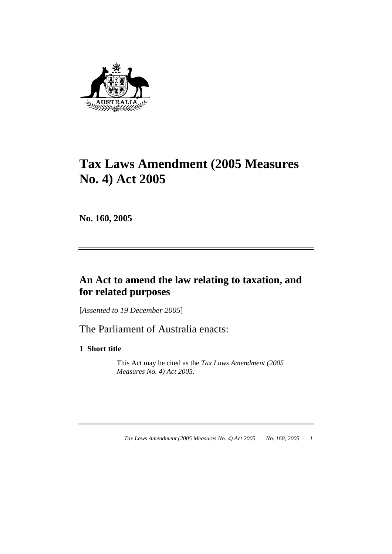

# **Tax Laws Amendment (2005 Measures No. 4) Act 2005**

**No. 160, 2005** 

## **An Act to amend the law relating to taxation, and for related purposes**

[*Assented to 19 December 2005*]

The Parliament of Australia enacts:

**1 Short title** 

 This Act may be cited as the *Tax Laws Amendment (2005 Measures No. 4) Act 2005*.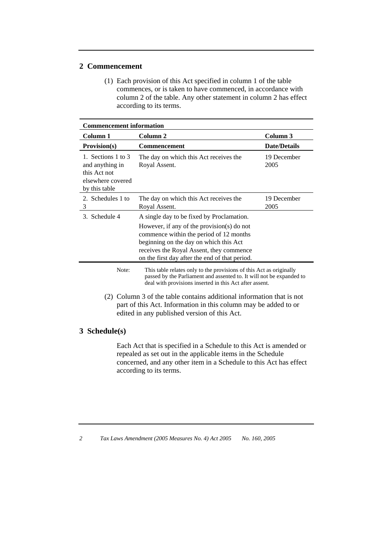#### **2 Commencement**

 (1) Each provision of this Act specified in column 1 of the table commences, or is taken to have commenced, in accordance with column 2 of the table. Any other statement in column 2 has effect according to its terms.

| <b>Commencement information</b>                                                             |                                                                                                                                                                                                                                    |                     |
|---------------------------------------------------------------------------------------------|------------------------------------------------------------------------------------------------------------------------------------------------------------------------------------------------------------------------------------|---------------------|
| Column 1                                                                                    | Column <sub>2</sub>                                                                                                                                                                                                                | Column <sub>3</sub> |
| Provision(s)                                                                                | <b>Commencement</b>                                                                                                                                                                                                                | <b>Date/Details</b> |
| 1. Sections 1 to 3<br>and anything in<br>this Act not<br>elsewhere covered<br>by this table | The day on which this Act receives the<br>Royal Assent.                                                                                                                                                                            | 19 December<br>2005 |
| 2. Schedules 1 to<br>3                                                                      | The day on which this Act receives the<br>Royal Assent.                                                                                                                                                                            | 19 December<br>2005 |
| 3. Schedule 4                                                                               | A single day to be fixed by Proclamation.                                                                                                                                                                                          |                     |
|                                                                                             | However, if any of the provision(s) do not<br>commence within the period of 12 months<br>beginning on the day on which this Act<br>receives the Royal Assent, they commence<br>on the first day after the end of that period.      |                     |
| Note:                                                                                       | This table relates only to the provisions of this Act as originally<br>passed by the Parliament and assented to. It will not be expanded to<br>deal with provisions inserted in this Act after assent.                             |                     |
|                                                                                             | (2) Column 3 of the table contains additional information that is not<br>part of this Act. Information in this column may be added to or<br>edited in any published version of this Act.                                           |                     |
| 3 Schedule(s)                                                                               |                                                                                                                                                                                                                                    |                     |
|                                                                                             | Each Act that is specified in a Schedule to this Act is amended or<br>repealed as set out in the applicable items in the Schedule<br>concerned, and any other item in a Schedule to this Act has effect<br>according to its terms. |                     |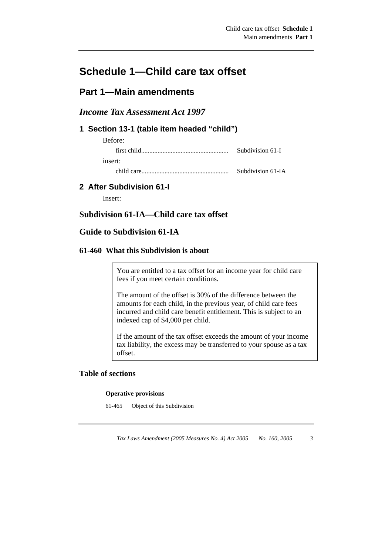## **Schedule 1—Child care tax offset**

## **Part 1—Main amendments**

## *Income Tax Assessment Act 1997*

## **1 Section 13-1 (table item headed "child")**

| Before: |                   |
|---------|-------------------|
|         | Subdivision 61-I  |
| insert: |                   |
|         | Subdivision 61-IA |

## **2 After Subdivision 61-I**

Insert:

## **Subdivision 61-IA—Child care tax offset**

## **Guide to Subdivision 61-IA**

### **61-460 What this Subdivision is about**

You are entitled to a tax offset for an income year for child care fees if you meet certain conditions.

The amount of the offset is 30% of the difference between the amounts for each child, in the previous year, of child care fees incurred and child care benefit entitlement. This is subject to an indexed cap of \$4,000 per child.

If the amount of the tax offset exceeds the amount of your income tax liability, the excess may be transferred to your spouse as a tax offset.

## **Table of sections**

#### **Operative provisions**

61-465 Object of this Subdivision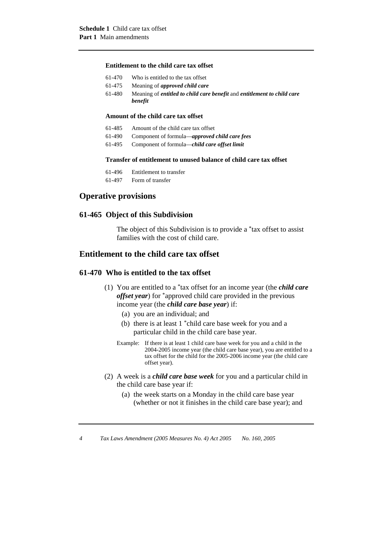#### **Entitlement to the child care tax offset**

| 61-470 | Who is entitled to the tax offset                                                     |
|--------|---------------------------------------------------------------------------------------|
| 61-475 | Meaning of <i>approved child care</i>                                                 |
| 61-480 | Meaning of <i>entitled to child care benefit</i> and <i>entitlement to child care</i> |

#### **Amount of the child care tax offset**

*benefit* 

- 61-485 Amount of the child care tax offset
- 61-490 Component of formula—*approved child care fees*
- 61-495 Component of formula—*child care offset limit*

#### **Transfer of entitlement to unused balance of child care tax offset**

- 61-496 Entitlement to transfer
- 61-497 Form of transfer

#### **Operative provisions**

#### **61-465 Object of this Subdivision**

 The object of this Subdivision is to provide a \*tax offset to assist families with the cost of child care.

#### **Entitlement to the child care tax offset**

#### **61-470 Who is entitled to the tax offset**

- (1) You are entitled to a \*tax offset for an income year (the *child care offset year*) for \*approved child care provided in the previous income year (the *child care base year*) if:
	- (a) you are an individual; and
	- (b) there is at least 1 \*child care base week for you and a particular child in the child care base year.
	- Example: If there is at least 1 child care base week for you and a child in the 2004-2005 income year (the child care base year), you are entitled to a tax offset for the child for the 2005-2006 income year (the child care offset year).
- (2) A week is a *child care base week* for you and a particular child in the child care base year if:
	- (a) the week starts on a Monday in the child care base year (whether or not it finishes in the child care base year); and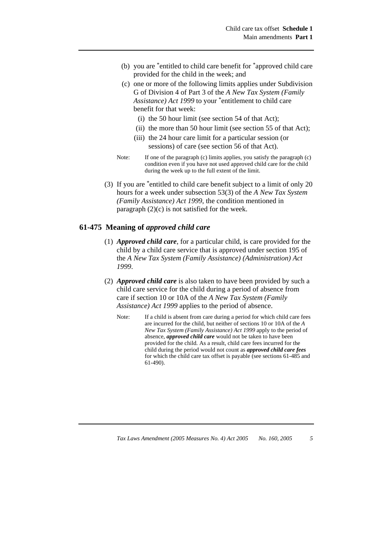- (b) you are \*entitled to child care benefit for \*approved child care provided for the child in the week; and
- (c) one or more of the following limits applies under Subdivision G of Division 4 of Part 3 of the *A New Tax System (Family Assistance) Act 1999* to your \*entitlement to child care benefit for that week:
	- (i) the 50 hour limit (see section 54 of that Act);
	- (ii) the more than 50 hour limit (see section 55 of that Act);
	- (iii) the 24 hour care limit for a particular session (or sessions) of care (see section 56 of that Act).
- Note: If one of the paragraph (c) limits applies, you satisfy the paragraph (c) condition even if you have not used approved child care for the child during the week up to the full extent of the limit.
- (3) If you are \*entitled to child care benefit subject to a limit of only 20 hours for a week under subsection 53(3) of the *A New Tax System (Family Assistance) Act 1999*, the condition mentioned in paragraph (2)(c) is not satisfied for the week.

#### **61-475 Meaning of** *approved child care*

- (1) *Approved child care*, for a particular child, is care provided for the child by a child care service that is approved under section 195 of the *A New Tax System (Family Assistance) (Administration) Act 1999*.
- (2) *Approved child care* is also taken to have been provided by such a child care service for the child during a period of absence from care if section 10 or 10A of the *A New Tax System (Family Assistance) Act 1999* applies to the period of absence.
	- Note: If a child is absent from care during a period for which child care fees are incurred for the child, but neither of sections 10 or 10A of the *A New Tax System (Family Assistance) Act 1999* apply to the period of absence, *approved child care* would not be taken to have been provided for the child. As a result, child care fees incurred for the child during the period would not count as *approved child care fees*  for which the child care tax offset is payable (see sections 61-485 and 61-490).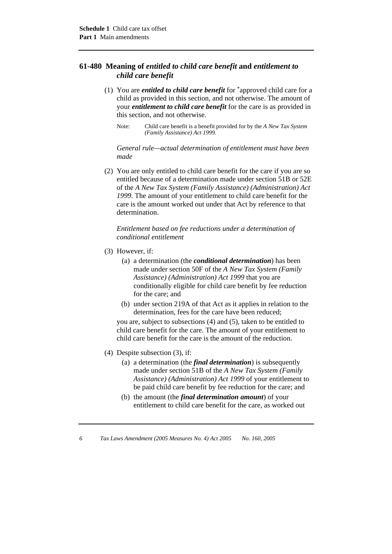#### **61-480 Meaning of** *entitled to child care benefit* **and** *entitlement to child care benefit*

- (1) You are *entitled to child care benefit* for \*approved child care for a child as provided in this section, and not otherwise. The amount of your *entitlement to child care benefit* for the care is as provided in this section, and not otherwise.
	- Note: Child care benefit is a benefit provided for by the *A New Tax System (Family Assistance) Act 1999.*

*General rule—actual determination of entitlement must have been made* 

 (2) You are only entitled to child care benefit for the care if you are so entitled because of a determination made under section 51B or 52E of the *A New Tax System (Family Assistance) (Administration) Act 1999*. The amount of your entitlement to child care benefit for the care is the amount worked out under that Act by reference to that determination.

*Entitlement based on fee reductions under a determination of conditional entitlement* 

- (3) However, if:
	- (a) a determination (the *conditional determination*) has been made under section 50F of the *A New Tax System (Family Assistance) (Administration) Act 1999* that you are conditionally eligible for child care benefit by fee reduction for the care; and
	- (b) under section 219A of that Act as it applies in relation to the determination, fees for the care have been reduced;

you are, subject to subsections (4) and (5), taken to be entitled to child care benefit for the care. The amount of your entitlement to child care benefit for the care is the amount of the reduction.

- (4) Despite subsection (3), if:
	- (a) a determination (the *final determination*) is subsequently made under section 51B of the *A New Tax System (Family Assistance) (Administration) Act 1999* of your entitlement to be paid child care benefit by fee reduction for the care; and
	- (b) the amount (the *final determination amount*) of your entitlement to child care benefit for the care, as worked out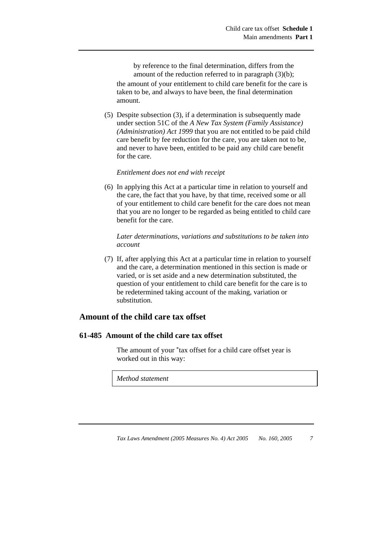by reference to the final determination, differs from the amount of the reduction referred to in paragraph (3)(b);

the amount of your entitlement to child care benefit for the care is taken to be, and always to have been, the final determination amount.

 (5) Despite subsection (3), if a determination is subsequently made under section 51C of the *A New Tax System (Family Assistance) (Administration) Act 1999* that you are not entitled to be paid child care benefit by fee reduction for the care, you are taken not to be, and never to have been, entitled to be paid any child care benefit for the care.

#### *Entitlement does not end with receipt*

 (6) In applying this Act at a particular time in relation to yourself and the care, the fact that you have, by that time, received some or all of your entitlement to child care benefit for the care does not mean that you are no longer to be regarded as being entitled to child care benefit for the care.

*Later determinations, variations and substitutions to be taken into account* 

 (7) If, after applying this Act at a particular time in relation to yourself and the care, a determination mentioned in this section is made or varied, or is set aside and a new determination substituted, the question of your entitlement to child care benefit for the care is to be redetermined taking account of the making, variation or substitution.

### **Amount of the child care tax offset**

#### **61-485 Amount of the child care tax offset**

 The amount of your \*tax offset for a child care offset year is worked out in this way:

*Method statement*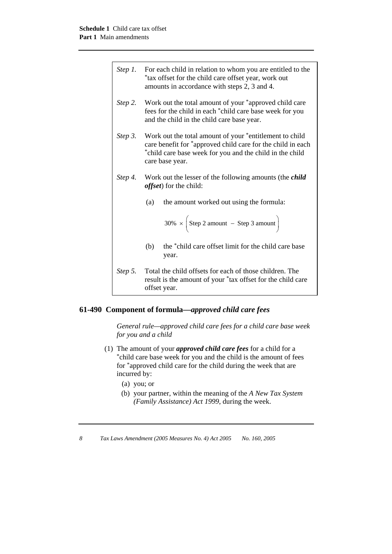| Step $1$ . | For each child in relation to whom you are entitled to the<br>*tax offset for the child care offset year, work out<br>amounts in accordance with steps 2, 3 and 4.                                    |  |
|------------|-------------------------------------------------------------------------------------------------------------------------------------------------------------------------------------------------------|--|
| Step 2.    | Work out the total amount of your *approved child care<br>fees for the child in each *child care base week for you<br>and the child in the child care base year.                                      |  |
| Step 3.    | Work out the total amount of your *entitlement to child<br>care benefit for *approved child care for the child in each<br>*child care base week for you and the child in the child<br>care base year. |  |
| Step 4.    | Work out the lesser of the following amounts (the <i>child</i><br><i>offset</i> ) for the child:                                                                                                      |  |
|            | the amount worked out using the formula:<br>(a)                                                                                                                                                       |  |
|            | $30\% \times \left($ Step 2 amount - Step 3 amount                                                                                                                                                    |  |
|            | the *child care offset limit for the child care base<br>(b)<br>year.                                                                                                                                  |  |
|            | Step 5. Total the child offsets for each of those children. The<br>result is the amount of your *tax offset for the child care<br>offset year.                                                        |  |

## **61-490 Component of formula—***approved child care fees*

*General rule—approved child care fees for a child care base week for you and a child* 

- (1) The amount of your *approved child care fees* for a child for a \*child care base week for you and the child is the amount of fees for \*approved child care for the child during the week that are incurred by:
	- (a) you; or
	- (b) your partner, within the meaning of the *A New Tax System (Family Assistance) Act 1999*, during the week.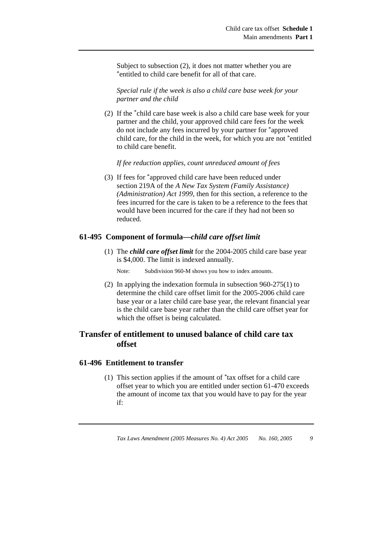Subject to subsection (2), it does not matter whether you are \*entitled to child care benefit for all of that care.

*Special rule if the week is also a child care base week for your partner and the child* 

 (2) If the \*child care base week is also a child care base week for your partner and the child, your approved child care fees for the week do not include any fees incurred by your partner for \*approved child care, for the child in the week, for which you are not \*entitled to child care benefit.

*If fee reduction applies, count unreduced amount of fees* 

 (3) If fees for \*approved child care have been reduced under section 219A of the *A New Tax System (Family Assistance) (Administration) Act 1999*, then for this section, a reference to the fees incurred for the care is taken to be a reference to the fees that would have been incurred for the care if they had not been so reduced.

#### **61-495 Component of formula—***child care offset limit*

 (1) The *child care offset limit* for the 2004-2005 child care base year is \$4,000. The limit is indexed annually.

Note: Subdivision 960-M shows you how to index amounts.

 (2) In applying the indexation formula in subsection 960-275(1) to determine the child care offset limit for the 2005-2006 child care base year or a later child care base year, the relevant financial year is the child care base year rather than the child care offset year for which the offset is being calculated.

## **Transfer of entitlement to unused balance of child care tax offset**

#### **61-496 Entitlement to transfer**

 (1) This section applies if the amount of \*tax offset for a child care offset year to which you are entitled under section 61-470 exceeds the amount of income tax that you would have to pay for the year if: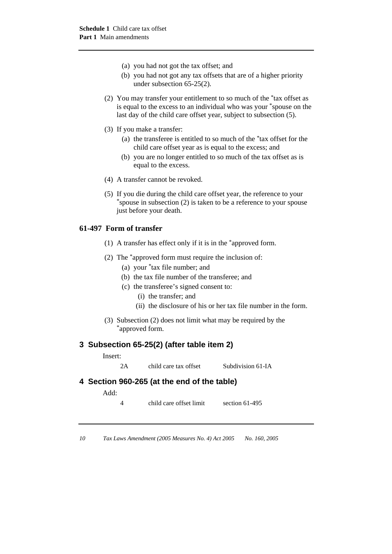- (a) you had not got the tax offset; and
- (b) you had not got any tax offsets that are of a higher priority under subsection 65-25(2).
- (2) You may transfer your entitlement to so much of the \*tax offset as is equal to the excess to an individual who was your \*spouse on the last day of the child care offset year, subject to subsection (5).
- (3) If you make a transfer:
	- (a) the transferee is entitled to so much of the \*tax offset for the child care offset year as is equal to the excess; and
	- (b) you are no longer entitled to so much of the tax offset as is equal to the excess.
- (4) A transfer cannot be revoked.
- (5) If you die during the child care offset year, the reference to your \*spouse in subsection (2) is taken to be a reference to your spouse just before your death.

## **61-497 Form of transfer**

- (1) A transfer has effect only if it is in the \*approved form.
- (2) The \*approved form must require the inclusion of:
	- (a) your \*tax file number; and
	- (b) the tax file number of the transferee; and
	- (c) the transferee's signed consent to:
		- (i) the transfer; and
		- (ii) the disclosure of his or her tax file number in the form.
- (3) Subsection (2) does not limit what may be required by the \*approved form.

#### **3 Subsection 65-25(2) (after table item 2)**

Insert:

2A child care tax offset Subdivision 61-IA

#### **4 Section 960-265 (at the end of the table)**

Add:

4 child care offset limit section 61-495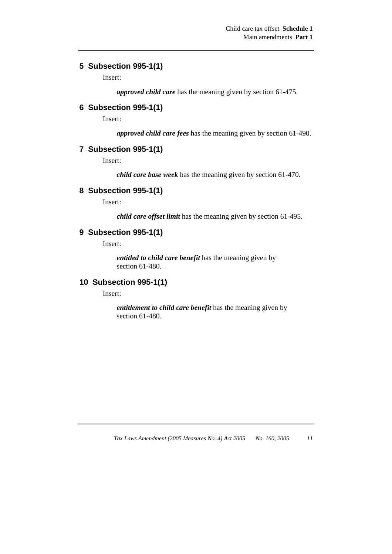## **5 Subsection 995-1(1)**

Insert:

*approved child care* has the meaning given by section 61-475.

## **6 Subsection 995-1(1)**

Insert:

*approved child care fees* has the meaning given by section 61-490.

### **7 Subsection 995-1(1)**

Insert:

*child care base week* has the meaning given by section 61-470.

#### **8 Subsection 995-1(1)**

Insert:

*child care offset limit* has the meaning given by section 61-495.

### **9 Subsection 995-1(1)**

Insert:

*entitled to child care benefit* has the meaning given by section 61-480.

#### **10 Subsection 995-1(1)**

Insert:

*entitlement to child care benefit* has the meaning given by section 61-480.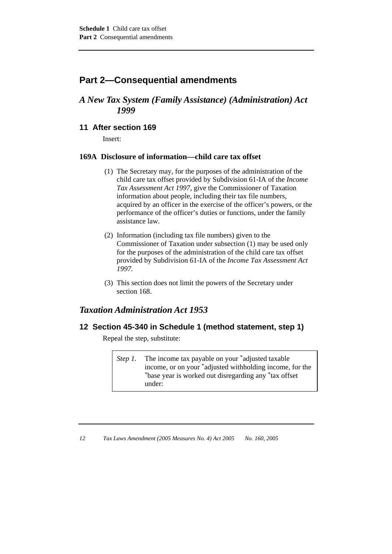## **Part 2—Consequential amendments**

## *A New Tax System (Family Assistance) (Administration) Act 1999*

## **11 After section 169**

Insert:

#### **169A Disclosure of information—child care tax offset**

- (1) The Secretary may, for the purposes of the administration of the child care tax offset provided by Subdivision 61-IA of the *Income Tax Assessment Act 1997*, give the Commissioner of Taxation information about people, including their tax file numbers, acquired by an officer in the exercise of the officer's powers, or the performance of the officer's duties or functions, under the family assistance law.
- (2) Information (including tax file numbers) given to the Commissioner of Taxation under subsection (1) may be used only for the purposes of the administration of the child care tax offset provided by Subdivision 61-IA of the *Income Tax Assessment Act 1997.*
- (3) This section does not limit the powers of the Secretary under section 168.

## *Taxation Administration Act 1953*

## **12 Section 45-340 in Schedule 1 (method statement, step 1)**

Repeal the step, substitute:

*Step 1.* The income tax payable on your \*adjusted taxable income, or on your \*adjusted withholding income, for the \*base year is worked out disregarding any \*tax offset under: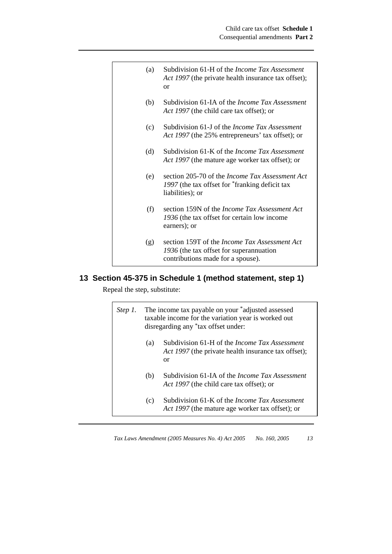| (a) | Subdivision 61-H of the <i>Income Tax Assessment</i><br>Act 1997 (the private health insurance tax offset);<br><sub>or</sub>         |
|-----|--------------------------------------------------------------------------------------------------------------------------------------|
| (b) | Subdivision 61-IA of the <i>Income Tax Assessment</i><br>Act 1997 (the child care tax offset); or                                    |
| (c) | Subdivision 61-J of the <i>Income Tax Assessment</i><br>Act 1997 (the 25% entrepreneurs' tax offset); or                             |
| (d) | Subdivision 61-K of the <i>Income Tax Assessment</i><br>Act 1997 (the mature age worker tax offset); or                              |
| (e) | section 205-70 of the <i>Income Tax Assessment Act</i><br>1997 (the tax offset for *franking deficit tax<br>liabilities); or         |
| (f) | section 159N of the <i>Income Tax Assessment Act</i><br>1936 (the tax offset for certain low income<br>earners); or                  |
| (g) | section 159T of the <i>Income Tax Assessment Act</i><br>1936 (the tax offset for superannuation<br>contributions made for a spouse). |

## **13 Section 45-375 in Schedule 1 (method statement, step 1)**

Repeal the step, substitute:

| Step 1. | The income tax payable on your *adjusted assessed<br>taxable income for the variation year is worked out<br>disregarding any *tax offset under: |                                                                                                                   |  |
|---------|-------------------------------------------------------------------------------------------------------------------------------------------------|-------------------------------------------------------------------------------------------------------------------|--|
|         | (a)                                                                                                                                             | Subdivision 61-H of the <i>Income Tax Assessment</i><br>Act 1997 (the private health insurance tax offset);<br>or |  |
|         | (b)                                                                                                                                             | Subdivision 61-IA of the <i>Income Tax Assessment</i><br>Act 1997 (the child care tax offset); or                 |  |
|         | (c)                                                                                                                                             | Subdivision 61-K of the <i>Income Tax Assessment</i><br>Act 1997 (the mature age worker tax offset); or           |  |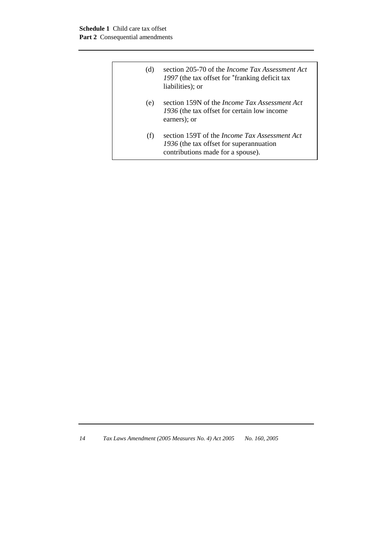| (d) | section 205-70 of the <i>Income Tax Assessment Act</i><br>1997 (the tax offset for "franking deficit tax")<br>liabilities); or       |
|-----|--------------------------------------------------------------------------------------------------------------------------------------|
| (e) | section 159N of the <i>Income Tax Assessment Act</i><br>1936 (the tax offset for certain low income<br>earners); or                  |
| (f) | section 159T of the <i>Income Tax Assessment Act</i><br>1936 (the tax offset for superannuation<br>contributions made for a spouse). |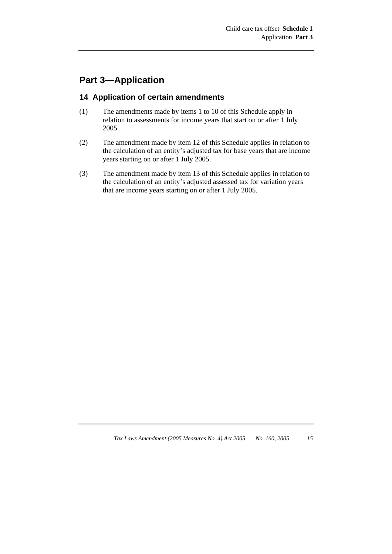## **Part 3—Application**

## **14 Application of certain amendments**

- (1) The amendments made by items 1 to 10 of this Schedule apply in relation to assessments for income years that start on or after 1 July 2005.
- (2) The amendment made by item 12 of this Schedule applies in relation to the calculation of an entity's adjusted tax for base years that are income years starting on or after 1 July 2005.
- (3) The amendment made by item 13 of this Schedule applies in relation to the calculation of an entity's adjusted assessed tax for variation years that are income years starting on or after 1 July 2005.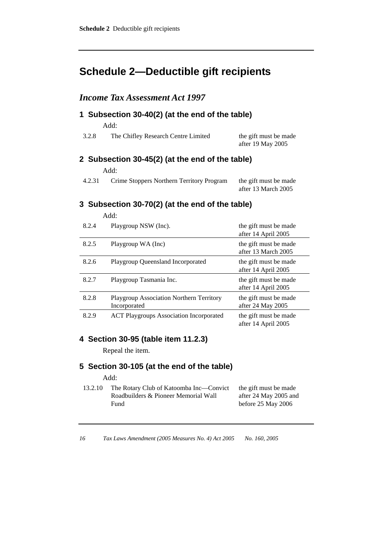## **Schedule 2—Deductible gift recipients**

## *Income Tax Assessment Act 1997*

## **1 Subsection 30-40(2) (at the end of the table)**  Add:

| 3.2.8 | The Chifley Research Centre Limited | the gift must be made |
|-------|-------------------------------------|-----------------------|
|       |                                     | after 19 May 2005     |

### **2 Subsection 30-45(2) (at the end of the table)**   $\overline{d}$ :

| 4.2.31 | Crime Stoppers Northern Territory Program | the gift must be made |
|--------|-------------------------------------------|-----------------------|
|        |                                           | after 13 March 2005   |

## **3 Subsection 30-70(2) (at the end of the table)**

|       | Add:                                                     |                                              |
|-------|----------------------------------------------------------|----------------------------------------------|
| 8.2.4 | Playgroup NSW (Inc).                                     | the gift must be made<br>after 14 April 2005 |
| 8.2.5 | Playgroup WA (Inc)                                       | the gift must be made<br>after 13 March 2005 |
| 8.2.6 | Playgroup Queensland Incorporated                        | the gift must be made<br>after 14 April 2005 |
| 8.2.7 | Playgroup Tasmania Inc.                                  | the gift must be made<br>after 14 April 2005 |
| 8.2.8 | Playgroup Association Northern Territory<br>Incorporated | the gift must be made<br>after 24 May 2005   |
| 8.2.9 | <b>ACT Playgroups Association Incorporated</b>           | the gift must be made<br>after 14 April 2005 |

## **4 Section 30-95 (table item 11.2.3)**

Repeal the item.

#### **5 Section 30-105 (at the end of the table)**

Add:

13.2.10 The Rotary Club of Katoomba Inc—Convict Roadbuilders & Pioneer Memorial Wall Fund the gift must be made after 24 May 2005 and before 25 May 2006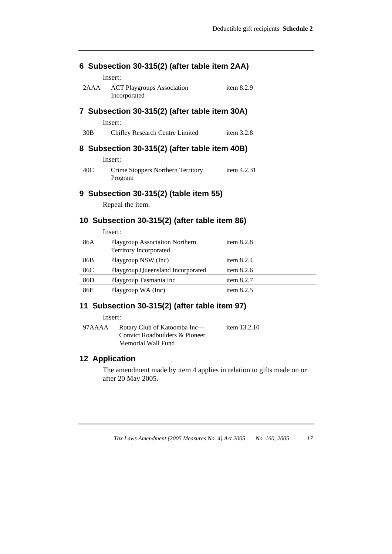| 6 Subsection 30-315(2) (after table item 2AA) |                                                                   |              |  |  |
|-----------------------------------------------|-------------------------------------------------------------------|--------------|--|--|
| Insert:                                       |                                                                   |              |  |  |
| 2AAA                                          | <b>ACT Playgroups Association</b><br>Incorporated                 | item $8.2.9$ |  |  |
| 7 Subsection 30-315(2) (after table item 30A) |                                                                   |              |  |  |
|                                               | Insert:                                                           |              |  |  |
| 30B                                           | Chifley Research Centre Limited                                   | item $3.2.8$ |  |  |
| 8 Subsection 30-315(2) (after table item 40B) |                                                                   |              |  |  |
|                                               | Insert:                                                           |              |  |  |
| 40C                                           | Crime Stoppers Northern Territory<br>Program                      | item 4.2.31  |  |  |
| 9 Subsection 30-315(2) (table item 55)        |                                                                   |              |  |  |
|                                               | Repeal the item.                                                  |              |  |  |
| 10 Subsection 30-315(2) (after table item 86) |                                                                   |              |  |  |
|                                               | Insert:                                                           |              |  |  |
| 86A                                           | <b>Playgroup Association Northern</b><br>Tamikano Indonesia nakad | item $8.2.8$ |  |  |

|     | 1.00<br><b>Territory Incorporated</b> |              |
|-----|---------------------------------------|--------------|
| 86B | Playgroup NSW (Inc)                   | item $8.2.4$ |
| 86C | Playgroup Queensland Incorporated     | item $8.2.6$ |
| 86D | Playgroup Tasmania Inc                | item $8.2.7$ |
| 86E | Playgroup WA (Inc)                    | item $8.2.5$ |
|     |                                       |              |

## **11 Subsection 30-315(2) (after table item 97)**

Insert:

| 97AAAA | Rotary Club of Katoomba Inc—   | item $13.2.10$ |
|--------|--------------------------------|----------------|
|        | Convict Roadbuilders & Pioneer |                |
|        | Memorial Wall Fund             |                |

## **12 Application**

The amendment made by item 4 applies in relation to gifts made on or after 20 May 2005.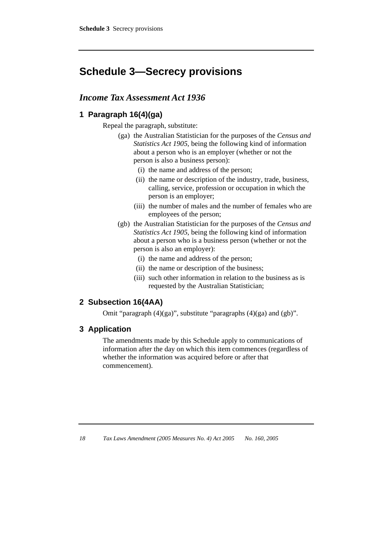## **Schedule 3—Secrecy provisions**

## *Income Tax Assessment Act 1936*

## **1 Paragraph 16(4)(ga)**

Repeal the paragraph, substitute:

- (ga) the Australian Statistician for the purposes of the *Census and Statistics Act 1905*, being the following kind of information about a person who is an employer (whether or not the person is also a business person):
	- (i) the name and address of the person;
	- (ii) the name or description of the industry, trade, business, calling, service, profession or occupation in which the person is an employer;
	- (iii) the number of males and the number of females who are employees of the person;
- (gb) the Australian Statistician for the purposes of the *Census and Statistics Act 1905*, being the following kind of information about a person who is a business person (whether or not the person is also an employer):
	- (i) the name and address of the person;
	- (ii) the name or description of the business;
	- (iii) such other information in relation to the business as is requested by the Australian Statistician;

## **2 Subsection 16(4AA)**

Omit "paragraph (4)(ga)", substitute "paragraphs (4)(ga) and (gb)".

### **3 Application**

The amendments made by this Schedule apply to communications of information after the day on which this item commences (regardless of whether the information was acquired before or after that commencement).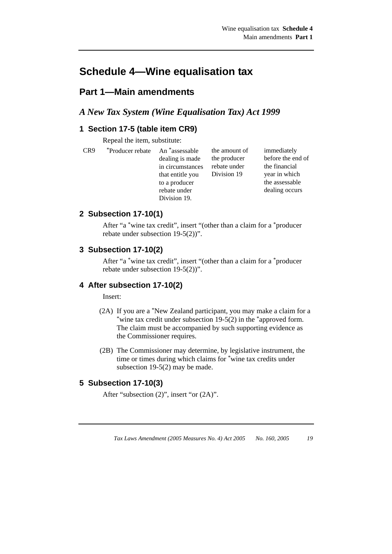## **Schedule 4—Wine equalisation tax**

## **Part 1—Main amendments**

## *A New Tax System (Wine Equalisation Tax) Act 1999*

## **1 Section 17-5 (table item CR9)**

Repeal the item, substitute:

| CR9 | <i>Producer rebate</i> An <sup>*</sup> assessable |                  | the amount of |
|-----|---------------------------------------------------|------------------|---------------|
|     |                                                   | dealing is made  | the producer  |
|     |                                                   | in circumstances | rebate under  |
|     |                                                   | that entitle you | Division 19   |
|     |                                                   | to a producer    |               |
|     |                                                   | rebate under     |               |
|     |                                                   | Division 19.     |               |

before the end of the financial year in which the assessable dealing occurs

immediately

### **2 Subsection 17-10(1)**

After "a \*wine tax credit", insert "(other than a claim for a \*producer rebate under subsection 19-5(2))".

#### **3 Subsection 17-10(2)**

After "a \*wine tax credit", insert "(other than a claim for a \*producer rebate under subsection 19-5(2))".

#### **4 After subsection 17-10(2)**

Insert:

- (2A) If you are a \*New Zealand participant, you may make a claim for a \*wine tax credit under subsection 19-5(2) in the \*approved form. The claim must be accompanied by such supporting evidence as the Commissioner requires.
- (2B) The Commissioner may determine, by legislative instrument, the time or times during which claims for \*wine tax credits under subsection 19-5(2) may be made.

## **5 Subsection 17-10(3)**

After "subsection (2)", insert "or (2A)".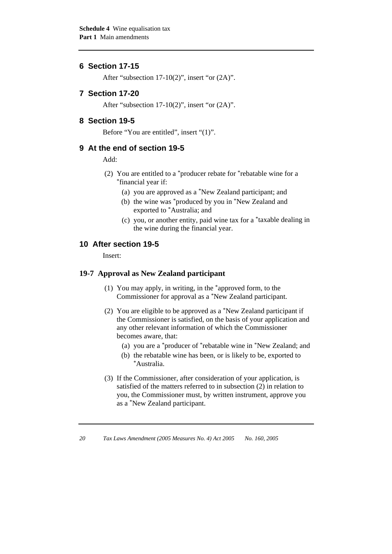### **6 Section 17-15**

After "subsection 17-10(2)", insert "or (2A)".

#### **7 Section 17-20**

After "subsection 17-10(2)", insert "or (2A)".

#### **8 Section 19-5**

Before "You are entitled", insert "(1)".

#### **9 At the end of section 19-5**

Add:

- (2) You are entitled to a \*producer rebate for \*rebatable wine for a \*financial year if:
	- (a) you are approved as a \*New Zealand participant; and
	- (b) the wine was \*produced by you in \*New Zealand and exported to \*Australia; and
	- (c) you, or another entity, paid wine tax for a \*taxable dealing in the wine during the financial year.

### **10 After section 19-5**

Insert:

#### **19-7 Approval as New Zealand participant**

- (1) You may apply, in writing, in the \*approved form, to the Commissioner for approval as a \*New Zealand participant.
- (2) You are eligible to be approved as a \*New Zealand participant if the Commissioner is satisfied, on the basis of your application and any other relevant information of which the Commissioner becomes aware, that:
	- (a) you are a \*producer of \*rebatable wine in \*New Zealand; and
	- (b) the rebatable wine has been, or is likely to be, exported to \*Australia.
- (3) If the Commissioner, after consideration of your application, is satisfied of the matters referred to in subsection (2) in relation to you, the Commissioner must, by written instrument, approve you as a \*New Zealand participant.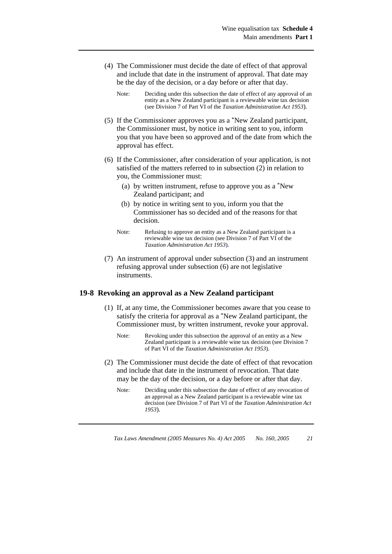- (4) The Commissioner must decide the date of effect of that approval and include that date in the instrument of approval. That date may be the day of the decision, or a day before or after that day.
	- Note: Deciding under this subsection the date of effect of any approval of an entity as a New Zealand participant is a reviewable wine tax decision (see Division 7 of Part VI of the *Taxation Administration Act 1953*)*.*
- (5) If the Commissioner approves you as a \*New Zealand participant, the Commissioner must, by notice in writing sent to you, inform you that you have been so approved and of the date from which the approval has effect.
- (6) If the Commissioner, after consideration of your application, is not satisfied of the matters referred to in subsection (2) in relation to you, the Commissioner must:
	- (a) by written instrument, refuse to approve you as a \*New Zealand participant; and
	- (b) by notice in writing sent to you, inform you that the Commissioner has so decided and of the reasons for that decision.
	- Note: Refusing to approve an entity as a New Zealand participant is a reviewable wine tax decision (see Division 7 of Part VI of the *Taxation Administration Act 1953*)*.*
- (7) An instrument of approval under subsection (3) and an instrument refusing approval under subsection (6) are not legislative instruments.

#### **19-8 Revoking an approval as a New Zealand participant**

- (1) If, at any time, the Commissioner becomes aware that you cease to satisfy the criteria for approval as a \*New Zealand participant, the Commissioner must, by written instrument, revoke your approval.
	- Note: Revoking under this subsection the approval of an entity as a New Zealand participant is a reviewable wine tax decision (see Division 7 of Part VI of the *Taxation Administration Act 1953*).
- (2) The Commissioner must decide the date of effect of that revocation and include that date in the instrument of revocation. That date may be the day of the decision, or a day before or after that day.
	- Note: Deciding under this subsection the date of effect of any revocation of an approval as a New Zealand participant is a reviewable wine tax decision (see Division 7 of Part VI of the *Taxation Administration Act 1953*)*.*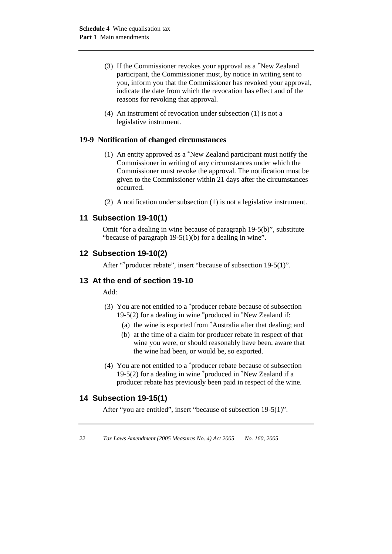- (3) If the Commissioner revokes your approval as a \*New Zealand participant, the Commissioner must, by notice in writing sent to you, inform you that the Commissioner has revoked your approval, indicate the date from which the revocation has effect and of the reasons for revoking that approval.
- (4) An instrument of revocation under subsection (1) is not a legislative instrument.

#### **19-9 Notification of changed circumstances**

- (1) An entity approved as a \*New Zealand participant must notify the Commissioner in writing of any circumstances under which the Commissioner must revoke the approval. The notification must be given to the Commissioner within 21 days after the circumstances occurred.
- (2) A notification under subsection (1) is not a legislative instrument.

## **11 Subsection 19-10(1)**

Omit "for a dealing in wine because of paragraph 19-5(b)", substitute "because of paragraph 19-5(1)(b) for a dealing in wine".

#### **12 Subsection 19-10(2)**

After "\*producer rebate", insert "because of subsection 19-5(1)".

#### **13 At the end of section 19-10**

Add:

- (3) You are not entitled to a \*producer rebate because of subsection 19-5(2) for a dealing in wine \*produced in \*New Zealand if:
	- (a) the wine is exported from \*Australia after that dealing; and
	- (b) at the time of a claim for producer rebate in respect of that wine you were, or should reasonably have been, aware that the wine had been, or would be, so exported.
- (4) You are not entitled to a \*producer rebate because of subsection 19-5(2) for a dealing in wine \*produced in \*New Zealand if a producer rebate has previously been paid in respect of the wine.

#### **14 Subsection 19-15(1)**

After "you are entitled", insert "because of subsection 19-5(1)".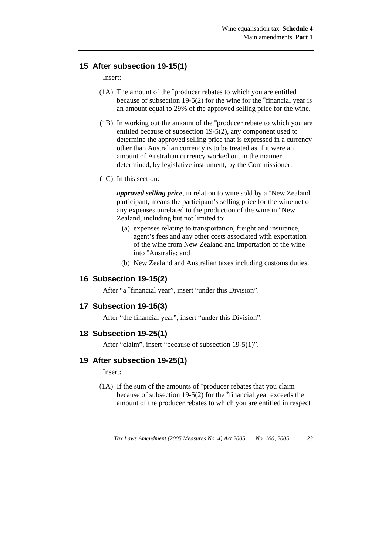### **15 After subsection 19-15(1)**

Insert:

- (1A) The amount of the \*producer rebates to which you are entitled because of subsection 19-5(2) for the wine for the \*financial year is an amount equal to 29% of the approved selling price for the wine.
- (1B) In working out the amount of the \*producer rebate to which you are entitled because of subsection 19-5(2), any component used to determine the approved selling price that is expressed in a currency other than Australian currency is to be treated as if it were an amount of Australian currency worked out in the manner determined, by legislative instrument, by the Commissioner.
- (1C) In this section:

*approved selling price*, in relation to wine sold by a \*New Zealand participant, means the participant's selling price for the wine net of any expenses unrelated to the production of the wine in \*New Zealand, including but not limited to:

- (a) expenses relating to transportation, freight and insurance, agent's fees and any other costs associated with exportation of the wine from New Zealand and importation of the wine into \*Australia; and
- (b) New Zealand and Australian taxes including customs duties.

#### **16 Subsection 19-15(2)**

After "a \*financial year", insert "under this Division".

#### **17 Subsection 19-15(3)**

After "the financial year", insert "under this Division".

#### **18 Subsection 19-25(1)**

After "claim", insert "because of subsection 19-5(1)".

#### **19 After subsection 19-25(1)**

Insert:

 (1A) If the sum of the amounts of \*producer rebates that you claim because of subsection 19-5(2) for the \*financial year exceeds the amount of the producer rebates to which you are entitled in respect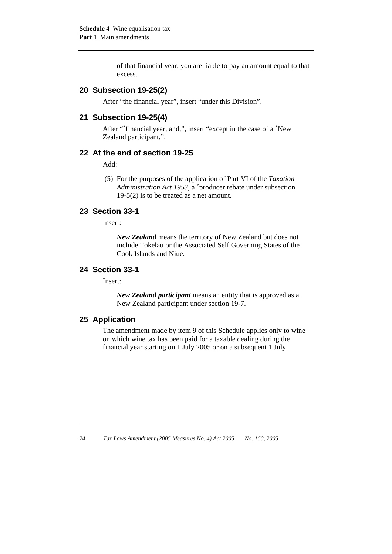of that financial year, you are liable to pay an amount equal to that excess.

#### **20 Subsection 19-25(2)**

After "the financial year", insert "under this Division".

#### **21 Subsection 19-25(4)**

After "\*financial year, and,", insert "except in the case of a \*New Zealand participant,".

#### **22 At the end of section 19-25**

Add:

 (5) For the purposes of the application of Part VI of the *Taxation Administration Act 1953*, a \*producer rebate under subsection 19-5(2) is to be treated as a net amount*.* 

#### **23 Section 33-1**

Insert:

*New Zealand* means the territory of New Zealand but does not include Tokelau or the Associated Self Governing States of the Cook Islands and Niue.

#### **24 Section 33-1**

Insert:

*New Zealand participant* means an entity that is approved as a New Zealand participant under section 19-7.

#### **25 Application**

The amendment made by item 9 of this Schedule applies only to wine on which wine tax has been paid for a taxable dealing during the financial year starting on 1 July 2005 or on a subsequent 1 July.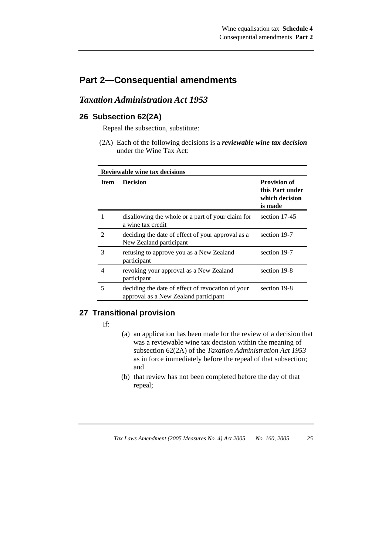## **Part 2—Consequential amendments**

## *Taxation Administration Act 1953*

## **26 Subsection 62(2A)**

Repeal the subsection, substitute:

 (2A) Each of the following decisions is a *reviewable wine tax decision* under the Wine Tax Act:

| <b>Reviewable wine tax decisions</b> |                                                                                            |                                                                     |  |
|--------------------------------------|--------------------------------------------------------------------------------------------|---------------------------------------------------------------------|--|
| <b>Item</b>                          | <b>Decision</b>                                                                            | <b>Provision of</b><br>this Part under<br>which decision<br>is made |  |
|                                      | disallowing the whole or a part of your claim for<br>a wine tax credit                     | section 17-45                                                       |  |
| $\mathfrak{D}$                       | deciding the date of effect of your approval as a<br>New Zealand participant               | section 19-7                                                        |  |
| 3                                    | refusing to approve you as a New Zealand<br>participant                                    | section 19-7                                                        |  |
| 4                                    | revoking your approval as a New Zealand<br>participant                                     | section 19-8                                                        |  |
| 5                                    | deciding the date of effect of revocation of your<br>approval as a New Zealand participant | section 19-8                                                        |  |

## **27 Transitional provision**

If:

- (a) an application has been made for the review of a decision that was a reviewable wine tax decision within the meaning of subsection 62(2A) of the *Taxation Administration Act 1953*  as in force immediately before the repeal of that subsection; and
- (b) that review has not been completed before the day of that repeal;